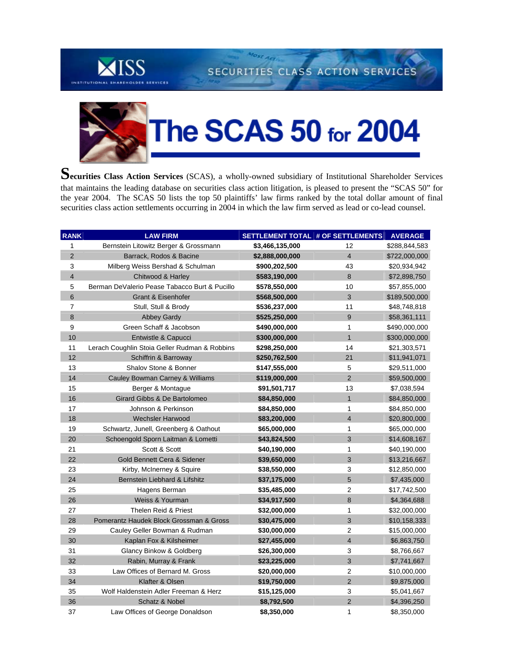

Most Activ SECURITIES CLASS ACTION SERVICES



Securities Class Action Services (SCAS), a wholly-owned subsidiary of Institutional Shareholder Services that maintains the leading database on securities class action litigation, is pleased to present the "SCAS 50" for the year 2004. The SCAS 50 lists the top 50 plaintiffs' law firms ranked by the total dollar amount of final securities class action settlements occurring in 2004 in which the law firm served as lead or co-lead counsel.

| <b>RANK</b>             | <b>LAW FIRM</b>                               | SETTLEMENT TOTAL # OF SETTLEMENTS |                         | <b>AVERAGE</b> |
|-------------------------|-----------------------------------------------|-----------------------------------|-------------------------|----------------|
| $\mathbf{1}$            | Bernstein Litowitz Berger & Grossmann         | \$3,466,135,000                   | 12                      | \$288,844,583  |
| $\overline{2}$          | Barrack, Rodos & Bacine                       | \$2,888,000,000                   | $\overline{4}$          | \$722,000,000  |
| $\mathsf 3$             | Milberg Weiss Bershad & Schulman              | \$900,202,500                     | 43                      | \$20,934,942   |
| $\overline{\mathbf{4}}$ | Chitwood & Harley                             | \$583,190,000                     | $\bf 8$                 | \$72,898,750   |
| 5                       | Berman DeValerio Pease Tabacco Burt & Pucillo | \$578,550,000                     | 10                      | \$57,855,000   |
| 6                       | <b>Grant &amp; Eisenhofer</b>                 | \$568,500,000                     | $\mathbf{3}$            | \$189,500,000  |
| 7                       | Stull, Stull & Brody                          | \$536,237,000                     | 11                      | \$48,748,818   |
| 8                       | <b>Abbey Gardy</b>                            | \$525,250,000                     | 9                       | \$58,361,111   |
| 9                       | Green Schaff & Jacobson<br>1<br>\$490,000,000 |                                   |                         | \$490,000,000  |
| 10                      | Entwistle & Capucci                           | \$300,000,000                     | $\mathbf{1}$            | \$300,000,000  |
| 11                      | Lerach Coughlin Stoia Geller Rudman & Robbins | \$298,250,000                     | 14                      | \$21,303,571   |
| 12                      | Schiffrin & Barroway                          | \$250,762,500                     | 21                      | \$11,941,071   |
| 13                      | Shalov Stone & Bonner                         | \$147,555,000                     | $\mathbf 5$             | \$29,511,000   |
| 14                      | Cauley Bowman Carney & Williams               | \$119,000,000                     | $\overline{2}$          | \$59,500,000   |
| 15                      | Berger & Montague                             | \$91,501,717                      | 13                      | \$7,038,594    |
| 16                      | Girard Gibbs & De Bartolomeo                  | \$84,850,000                      | $\mathbf{1}$            | \$84,850,000   |
| 17                      | Johnson & Perkinson                           | \$84,850,000                      | 1                       | \$84,850,000   |
| 18                      | <b>Wechsler Harwood</b>                       | \$83,200,000                      | $\overline{4}$          | \$20,800,000   |
| 19                      | Schwartz, Junell, Greenberg & Oathout         | \$65,000,000                      | 1                       | \$65,000,000   |
| 20                      | Schoengold Sporn Laitman & Lometti            | \$43,824,500                      | 3                       | \$14,608,167   |
| 21                      | Scott & Scott                                 | \$40,190,000                      | 1                       | \$40,190,000   |
| 22                      | Gold Bennett Cera & Sidener                   | \$39,650,000                      | 3                       | \$13,216,667   |
| 23                      | Kirby, McInerney & Squire                     | \$38,550,000                      | 3                       | \$12,850,000   |
| 24                      | Bernstein Liebhard & Lifshitz                 | \$37,175,000                      | 5                       | \$7,435,000    |
| 25                      | Hagens Berman                                 | \$35,485,000                      | $\overline{c}$          | \$17,742,500   |
| 26                      | Weiss & Yourman                               | \$34,917,500                      | 8                       | \$4,364,688    |
| 27                      | Thelen Reid & Priest                          | \$32,000,000                      | 1                       | \$32,000,000   |
| 28                      | Pomerantz Haudek Block Grossman & Gross       | \$30,475,000                      | 3                       | \$10,158,333   |
| 29                      | Cauley Geller Bowman & Rudman                 | \$30,000,000                      | 2                       | \$15,000,000   |
| 30                      | Kaplan Fox & Kilsheimer                       | \$27,455,000                      | $\overline{\mathbf{4}}$ | \$6,863,750    |
| 31                      | Glancy Binkow & Goldberg                      | \$26,300,000                      | 3                       | \$8,766,667    |
| 32                      | Rabin, Murray & Frank                         | \$23,225,000                      | 3                       | \$7,741,667    |
| 33                      | Law Offices of Bernard M. Gross               | \$20,000,000                      | 2                       | \$10,000,000   |
| 34                      | Klafter & Olsen                               | \$19,750,000                      | $\overline{2}$          | \$9,875,000    |
| 35                      | Wolf Haldenstein Adler Freeman & Herz         | \$15,125,000                      | 3                       | \$5,041,667    |
| 36                      | Schatz & Nobel                                | \$8,792,500                       | $\overline{2}$          | \$4,396,250    |
| 37                      | Law Offices of George Donaldson               | \$8,350,000                       | $\mathbf{1}$            | \$8,350,000    |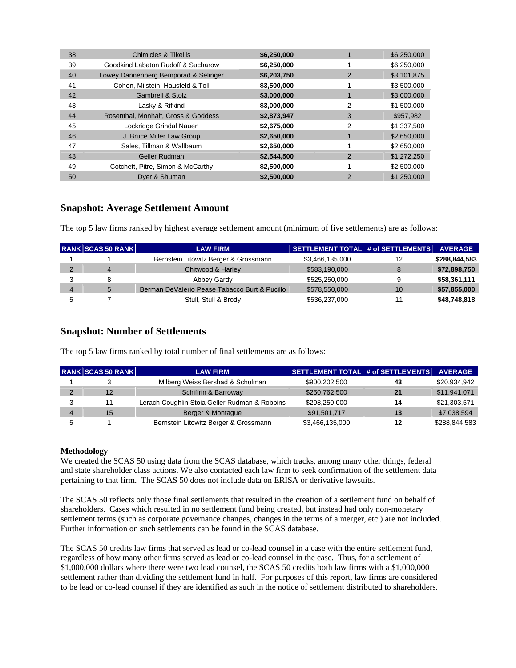| 38 | Chimicles & Tikellis                 | \$6,250,000 |               | \$6,250,000 |
|----|--------------------------------------|-------------|---------------|-------------|
| 39 | Goodkind Labaton Rudoff & Sucharow   | \$6,250,000 |               | \$6,250,000 |
| 40 | Lowey Dannenberg Bemporad & Selinger | \$6,203,750 | 2             | \$3,101,875 |
| 41 | Cohen, Milstein, Hausfeld & Toll     | \$3,500,000 |               | \$3,500,000 |
| 42 | <b>Gambrell &amp; Stolz</b>          | \$3,000,000 |               | \$3,000,000 |
| 43 | Lasky & Rifkind                      | \$3,000,000 | 2             | \$1,500,000 |
| 44 | Rosenthal, Monhait, Gross & Goddess  | \$2,873,947 | 3             | \$957,982   |
| 45 | Lockridge Grindal Nauen              | \$2,675,000 | 2             | \$1,337,500 |
| 46 | J. Bruce Miller Law Group            | \$2,650,000 |               | \$2,650,000 |
| 47 | Sales, Tillman & Wallbaum            | \$2,650,000 |               | \$2,650,000 |
| 48 | <b>Geller Rudman</b>                 | \$2,544,500 | 2             | \$1,272,250 |
| 49 | Cotchett, Pitre, Simon & McCarthy    | \$2,500,000 |               | \$2,500,000 |
| 50 | Dyer & Shuman                        | \$2,500,000 | $\mathcal{P}$ | \$1,250,000 |

## **Snapshot: Average Settlement Amount**

The top 5 law firms ranked by highest average settlement amount (minimum of five settlements) are as follows:

| <b>RANK SCAS 50 RANK</b> | <b>LAW FIRM</b>                               | SETTLEMENT TOTAL # of SETTLEMENTS |    | <b>AVERAGE</b> |
|--------------------------|-----------------------------------------------|-----------------------------------|----|----------------|
|                          | Bernstein Litowitz Berger & Grossmann         | \$3,466,135,000                   | 12 | \$288,844,583  |
| $\overline{4}$           | Chitwood & Harley                             | \$583,190,000                     | 8  | \$72,898,750   |
| 8                        | Abbey Gardy                                   | \$525,250,000                     | 9  | \$58,361,111   |
| 5                        | Berman DeValerio Pease Tabacco Burt & Pucillo | \$578,550,000                     | 10 | \$57,855,000   |
|                          | Stull, Stull & Brody                          | \$536,237,000                     | 11 | \$48,748,818   |

## **Snapshot: Number of Settlements**

The top 5 law firms ranked by total number of final settlements are as follows:

| <b>RANK SCAS 50 RANK</b> | <b>LAW FIRM</b>                               | SETTLEMENT TOTAL # of SETTLEMENTS |    | <b>AVERAGE</b> |
|--------------------------|-----------------------------------------------|-----------------------------------|----|----------------|
|                          | Milberg Weiss Bershad & Schulman              | \$900,202,500                     | 43 | \$20,934,942   |
| 12                       | Schiffrin & Barroway                          | \$250,762,500                     | 21 | \$11,941,071   |
| 11                       | Lerach Coughlin Stoia Geller Rudman & Robbins | \$298.250.000                     | 14 | \$21,303,571   |
| 15                       | Berger & Montague                             | \$91,501,717                      | 13 | \$7,038,594    |
|                          | Bernstein Litowitz Berger & Grossmann         | \$3,466,135,000                   | 12 | \$288,844,583  |

## **Methodology**

We created the SCAS 50 using data from the SCAS database, which tracks, among many other things, federal and state shareholder class actions. We also contacted each law firm to seek confirmation of the settlement data pertaining to that firm. The SCAS 50 does not include data on ERISA or derivative lawsuits.

The SCAS 50 reflects only those final settlements that resulted in the creation of a settlement fund on behalf of shareholders. Cases which resulted in no settlement fund being created, but instead had only non-monetary settlement terms (such as corporate governance changes, changes in the terms of a merger, etc.) are not included. Further information on such settlements can be found in the SCAS database.

The SCAS 50 credits law firms that served as lead or co-lead counsel in a case with the entire settlement fund, regardless of how many other firms served as lead or co-lead counsel in the case. Thus, for a settlement of \$1,000,000 dollars where there were two lead counsel, the SCAS 50 credits both law firms with a \$1,000,000 settlement rather than dividing the settlement fund in half. For purposes of this report, law firms are considered to be lead or co-lead counsel if they are identified as such in the notice of settlement distributed to shareholders.